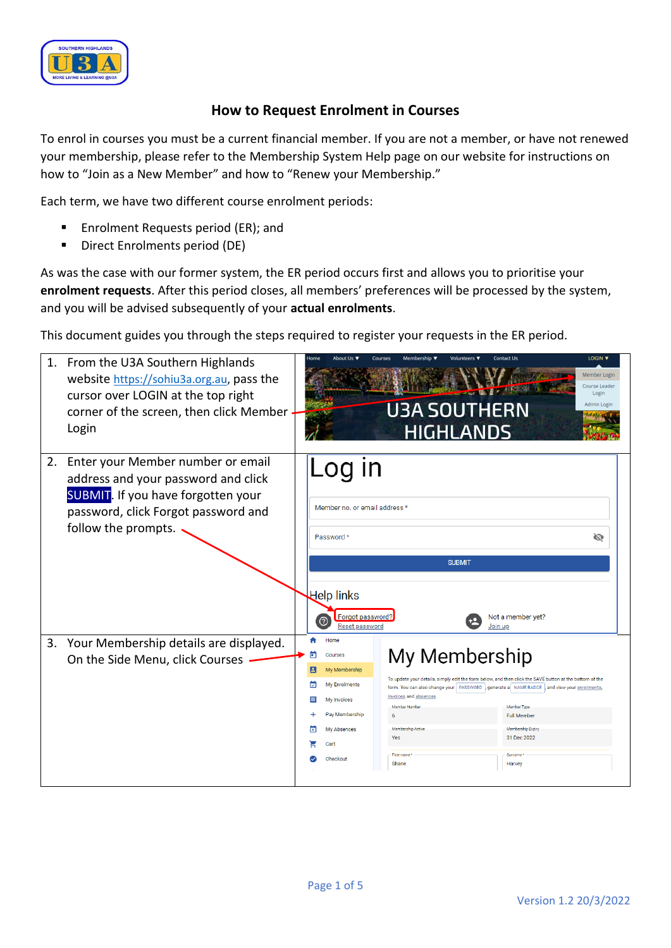

## **How to Request Enrolment in Courses**

To enrol in courses you must be a current financial member. If you are not a member, or have not renewed your membership, please refer to the Membership System Help page on our website for instructions on how to "Join as a New Member" and how to "Renew your Membership."

Each term, we have two different course enrolment periods:

- Enrolment Requests period (ER); and
- Direct Enrolments period (DE)

As was the case with our former system, the ER period occurs first and allows you to prioritise your **enrolment requests**. After this period closes, all members' preferences will be processed by the system, and you will be advised subsequently of your **actual enrolments**.

This document guides you through the steps required to register your requests in the ER period.

|    | 1. From the U3A Southern Highlands<br>website https://sohiu3a.org.au, pass the<br>cursor over LOGIN at the top right<br>corner of the screen, then click Member<br>Login             | Home                            | About Us ¶                                                                                                            | Courses<br>Membership ▼<br><b>U3A SOUTHERN</b>                                                            | Volunteers ▼<br><b>HIGHLANDS</b> | LOGIN V<br><b>Contact Us</b><br>Member Login<br>Course Leader<br>Login<br>Admin Login                                                                                                                                                                                                                   |  |
|----|--------------------------------------------------------------------------------------------------------------------------------------------------------------------------------------|---------------------------------|-----------------------------------------------------------------------------------------------------------------------|-----------------------------------------------------------------------------------------------------------|----------------------------------|---------------------------------------------------------------------------------------------------------------------------------------------------------------------------------------------------------------------------------------------------------------------------------------------------------|--|
| 2. | Enter your Member number or email<br>address and your password and click<br><b>SUBMIT</b> . If you have forgotten your<br>password, click Forgot password and<br>follow the prompts. |                                 | Member no. or email address *<br>Password *<br>Help links<br>Forgot password?<br>Reset password                       |                                                                                                           | <b>SUBMIT</b><br>Join up         | Ø<br>Not a member yet?                                                                                                                                                                                                                                                                                  |  |
|    | 3. Your Membership details are displayed.<br>On the Side Menu, click Courses                                                                                                         | ▭<br>e<br>☑<br>$\equiv$<br> प्र | Home<br>Courses<br>My Membership<br>My Enrolments<br>My Invoices<br>Pay Membership<br>My Absences<br>Cart<br>Checkout | My Membership<br>invoices and absences<br>Member Numbe<br>Membership Active<br>Yes<br>First name<br>Shane |                                  | To update your details, simply edit the form below, and then click the SAVE button at the bottom of the<br>form. You can also change your   PASSWORD   generate a   NAME BADGE   and view your enrolments<br>Member Type<br><b>Full Member</b><br>Membership Expiry<br>31 Dec 2022<br>Surname<br>Harvey |  |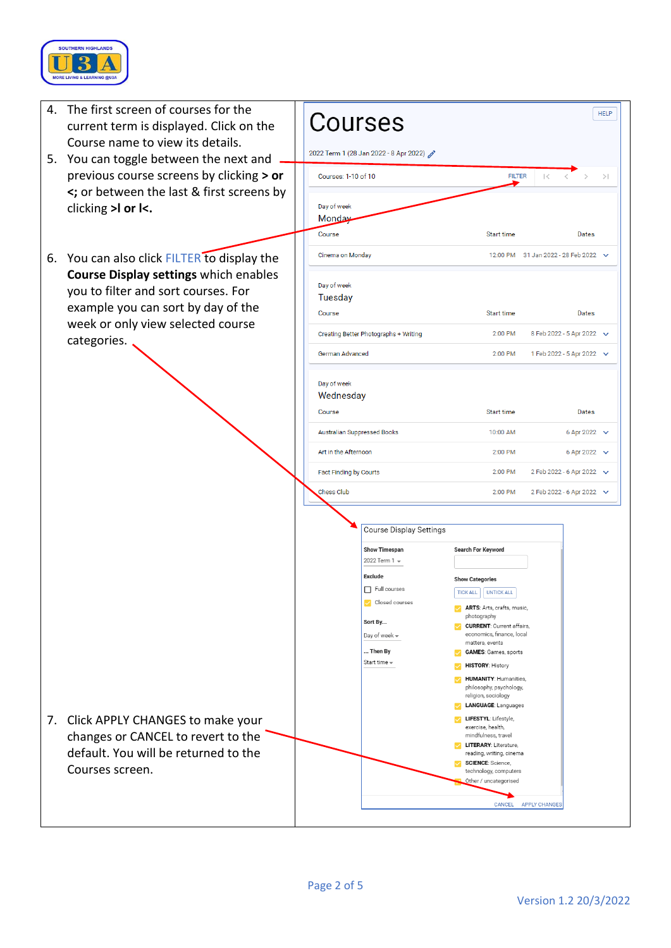

| 4. | The first screen of courses for the<br>current term is displayed. Click on the<br>Course name to view its details.<br>You can toggle between the next and<br>previous course screens by clicking > or<br><; or between the last & first screens by<br>clicking >I or I<. |  | Courses<br>2022 Term 1 (28 Jan 2022 - 8 Apr 2022)                                                                                                                                        |                                                                                                                                                                                                                                                                                                                                                                                                                                                                                                                                                                                                                         | <b>HELP</b>                                            |    |
|----|--------------------------------------------------------------------------------------------------------------------------------------------------------------------------------------------------------------------------------------------------------------------------|--|------------------------------------------------------------------------------------------------------------------------------------------------------------------------------------------|-------------------------------------------------------------------------------------------------------------------------------------------------------------------------------------------------------------------------------------------------------------------------------------------------------------------------------------------------------------------------------------------------------------------------------------------------------------------------------------------------------------------------------------------------------------------------------------------------------------------------|--------------------------------------------------------|----|
| 5. |                                                                                                                                                                                                                                                                          |  | Courses: 1-10 of 10                                                                                                                                                                      | <b>FILTER</b>                                                                                                                                                                                                                                                                                                                                                                                                                                                                                                                                                                                                           | $\vert <$                                              | >1 |
|    |                                                                                                                                                                                                                                                                          |  | Day of week<br>Mon <u>day</u><br>Course                                                                                                                                                  | Start time                                                                                                                                                                                                                                                                                                                                                                                                                                                                                                                                                                                                              | Dates                                                  |    |
| 6. | You can also click FILTER to display the                                                                                                                                                                                                                                 |  | Cinema on Monday                                                                                                                                                                         |                                                                                                                                                                                                                                                                                                                                                                                                                                                                                                                                                                                                                         | 12:00 PM 31 Jan 2022 - 28 Feb 2022 V                   |    |
|    | <b>Course Display settings which enables</b><br>you to filter and sort courses. For<br>example you can sort by day of the<br>week or only view selected course<br>categories.                                                                                            |  | Day of week<br><b>Tuesday</b><br>Course                                                                                                                                                  | Start time                                                                                                                                                                                                                                                                                                                                                                                                                                                                                                                                                                                                              | Dates                                                  |    |
|    |                                                                                                                                                                                                                                                                          |  | Creating Better Photographs + Writing                                                                                                                                                    | 2:00 PM                                                                                                                                                                                                                                                                                                                                                                                                                                                                                                                                                                                                                 | 8 Feb 2022 - 5 Apr 2022 $\sqrt{}$                      |    |
|    |                                                                                                                                                                                                                                                                          |  | German Advanced                                                                                                                                                                          | 2:00 PM                                                                                                                                                                                                                                                                                                                                                                                                                                                                                                                                                                                                                 | 1 Feb 2022 - 5 Apr 2022 $\vee$                         |    |
|    |                                                                                                                                                                                                                                                                          |  | Day of week<br>Wednesday                                                                                                                                                                 |                                                                                                                                                                                                                                                                                                                                                                                                                                                                                                                                                                                                                         |                                                        |    |
|    |                                                                                                                                                                                                                                                                          |  | Course                                                                                                                                                                                   | <b>Start time</b>                                                                                                                                                                                                                                                                                                                                                                                                                                                                                                                                                                                                       | Dates                                                  |    |
|    |                                                                                                                                                                                                                                                                          |  | <b>Australian Suppressed Books</b>                                                                                                                                                       | 10:00 AM                                                                                                                                                                                                                                                                                                                                                                                                                                                                                                                                                                                                                | 6 Apr 2022 $\vee$                                      |    |
|    |                                                                                                                                                                                                                                                                          |  | Art in the Afternoon<br><b>Fact Finding by Courts</b>                                                                                                                                    | 2:00 PM<br>2:00 PM                                                                                                                                                                                                                                                                                                                                                                                                                                                                                                                                                                                                      | 6 Apr 2022 $\sqrt{}$<br>2 Feb 2022 - 6 Apr 2022 $\vee$ |    |
|    |                                                                                                                                                                                                                                                                          |  | Chess Club                                                                                                                                                                               | 2:00 PM                                                                                                                                                                                                                                                                                                                                                                                                                                                                                                                                                                                                                 | 2 Feb 2022 - 6 Apr 2022 $\vee$                         |    |
| 7. | Click APPLY CHANGES to make your<br>changes or CANCEL to revert to the<br>default. You will be returned to the<br>Courses screen.                                                                                                                                        |  | <b>Course Display Settings</b><br><b>Show Timespan</b><br>2022 Term 1 -<br><b>Exclude</b><br>Full courses<br>Closed courses<br>Sort By<br>Day of week $\star$<br>Then By<br>Start time = | <b>Search For Keyword</b><br><b>Show Categories</b><br><b>UNTICK ALL</b><br><b>TICK ALL</b><br>ARTS: Arts, crafts, music,<br>photography<br><b>CURRENT: Current affairs,</b><br>economics, finance, local<br>matters, events<br><b>GAMES:</b> Games, sports<br><b>HISTORY: History</b><br><b>HUMANITY: Humanities,</b><br>philosophy, psychology,<br>religion, sociology<br><b>LANGUAGE: Languages</b><br>LIFESTYL: Lifestyle,<br>exercise, health,<br>mindfulness, travel<br>LITERARY: Literature,<br>reading, writing, cinema<br><b>SCIENCE:</b> Science,<br>technology, computers<br>Other / uncategorised<br>CANCEL | <b>APPLY CHANGES</b>                                   |    |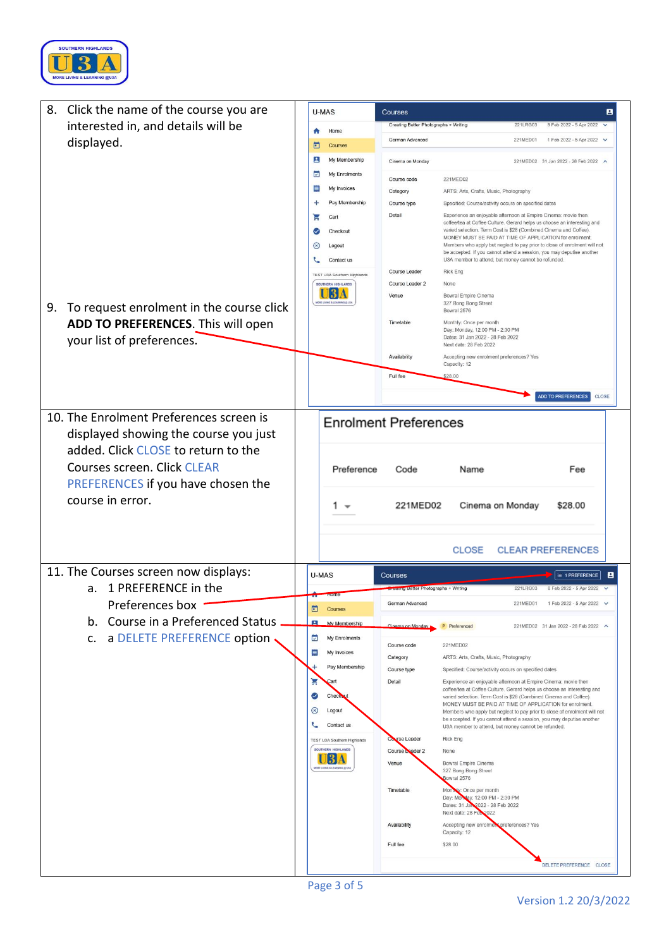

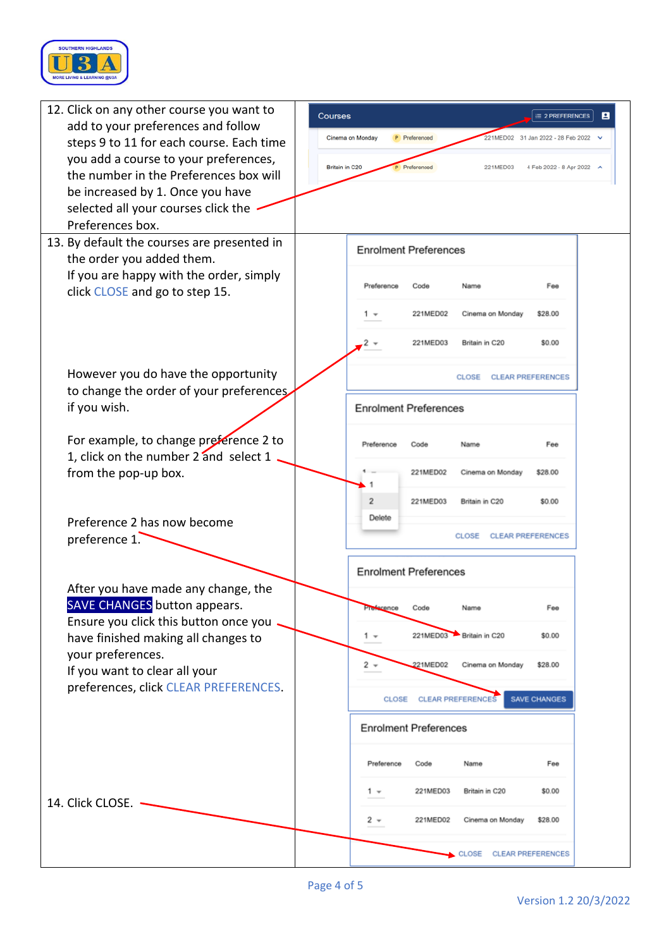